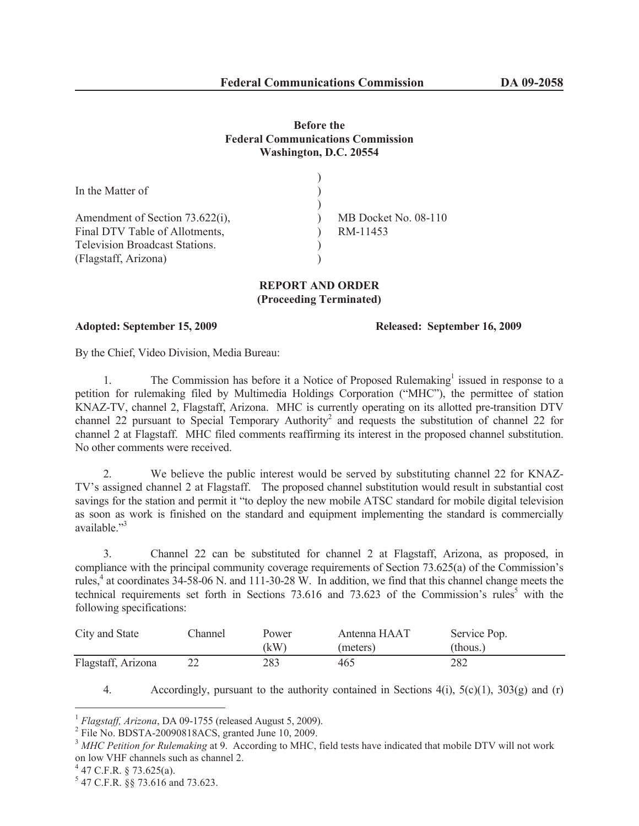# **Before the Federal Communications Commission Washington, D.C. 20554**

| In the Matter of                      |                      |
|---------------------------------------|----------------------|
| Amendment of Section 73.622(i),       | MB Docket No. 08-110 |
| Final DTV Table of Allotments,        | RM-11453             |
| <b>Television Broadcast Stations.</b> |                      |
| (Flagstaff, Arizona)                  |                      |

# **REPORT AND ORDER (Proceeding Terminated)**

### **Adopted: September 15, 2009 Released: September 16, 2009**

By the Chief, Video Division, Media Bureau:

1. The Commission has before it a Notice of Proposed Rulemaking<sup>1</sup> issued in response to a petition for rulemaking filed by Multimedia Holdings Corporation ("MHC"), the permittee of station KNAZ-TV, channel 2, Flagstaff, Arizona. MHC is currently operating on its allotted pre-transition DTV channel 22 pursuant to Special Temporary Authority<sup>2</sup> and requests the substitution of channel 22 for channel 2 at Flagstaff. MHC filed comments reaffirming its interest in the proposed channel substitution. No other comments were received.

2. We believe the public interest would be served by substituting channel 22 for KNAZ-TV's assigned channel 2 at Flagstaff. The proposed channel substitution would result in substantial cost savings for the station and permit it "to deploy the new mobile ATSC standard for mobile digital television as soon as work is finished on the standard and equipment implementing the standard is commercially available."<sup>3</sup>

3. Channel 22 can be substituted for channel 2 at Flagstaff, Arizona, as proposed, in compliance with the principal community coverage requirements of Section 73.625(a) of the Commission's rules, $4$  at coordinates 34-58-06 N. and 111-30-28 W. In addition, we find that this channel change meets the technical requirements set forth in Sections  $73.616$  and  $73.623$  of the Commission's rules<sup>5</sup> with the following specifications:

| City and State     | Channel | Power | Antenna HAAT | Service Pop. |
|--------------------|---------|-------|--------------|--------------|
|                    |         | (kW)  | (meters)     | (thous.)     |
| Flagstaff, Arizona |         | 283   | 465          | 282          |

<sup>4.</sup> Accordingly, pursuant to the authority contained in Sections  $4(i)$ ,  $5(c)(1)$ ,  $303(g)$  and (r)

 $4$  47 C.F.R. § 73.625(a).

<sup>1</sup> *Flagstaff, Arizona*, DA 09-1755 (released August 5, 2009).

<sup>&</sup>lt;sup>2</sup> File No. BDSTA-20090818ACS, granted June 10, 2009.

<sup>3</sup> *MHC Petition for Rulemaking* at 9. According to MHC, field tests have indicated that mobile DTV will not work on low VHF channels such as channel 2.

<sup>5</sup> 47 C.F.R. §§ 73.616 and 73.623.